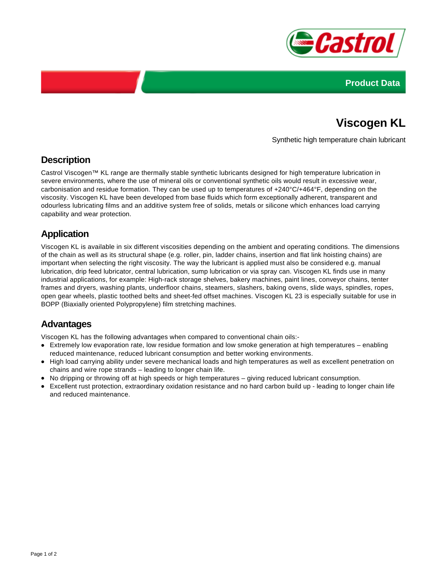



# **Viscogen KL**

Synthetic high temperature chain lubricant

## **Description**

Castrol Viscogen™ KL range are thermally stable synthetic lubricants designed for high temperature lubrication in severe environments, where the use of mineral oils or conventional synthetic oils would result in excessive wear, carbonisation and residue formation. They can be used up to temperatures of +240°C/+464°F, depending on the viscosity. Viscogen KL have been developed from base fluids which form exceptionally adherent, transparent and odourless lubricating films and an additive system free of solids, metals or silicone which enhances load carrying capability and wear protection.

# **Application**

Viscogen KL is available in six different viscosities depending on the ambient and operating conditions. The dimensions of the chain as well as its structural shape (e.g. roller, pin, ladder chains, insertion and flat link hoisting chains) are important when selecting the right viscosity. The way the lubricant is applied must also be considered e.g. manual lubrication, drip feed lubricator, central lubrication, sump lubrication or via spray can. Viscogen KL finds use in many industrial applications, for example: High-rack storage shelves, bakery machines, paint lines, conveyor chains, tenter frames and dryers, washing plants, underfloor chains, steamers, slashers, baking ovens, slide ways, spindles, ropes, open gear wheels, plastic toothed belts and sheet-fed offset machines. Viscogen KL 23 is especially suitable for use in BOPP (Biaxially oriented Polypropylene) film stretching machines.

#### **Advantages**

Viscogen KL has the following advantages when compared to conventional chain oils:-

- Extremely low evaporation rate, low residue formation and low smoke generation at high temperatures enabling reduced maintenance, reduced lubricant consumption and better working environments.
- High load carrying ability under severe mechanical loads and high temperatures as well as excellent penetration on chains and wire rope strands – leading to longer chain life.
- No dripping or throwing off at high speeds or high temperatures giving reduced lubricant consumption.
- Excellent rust protection, extraordinary oxidation resistance and no hard carbon build up leading to longer chain life and reduced maintenance.